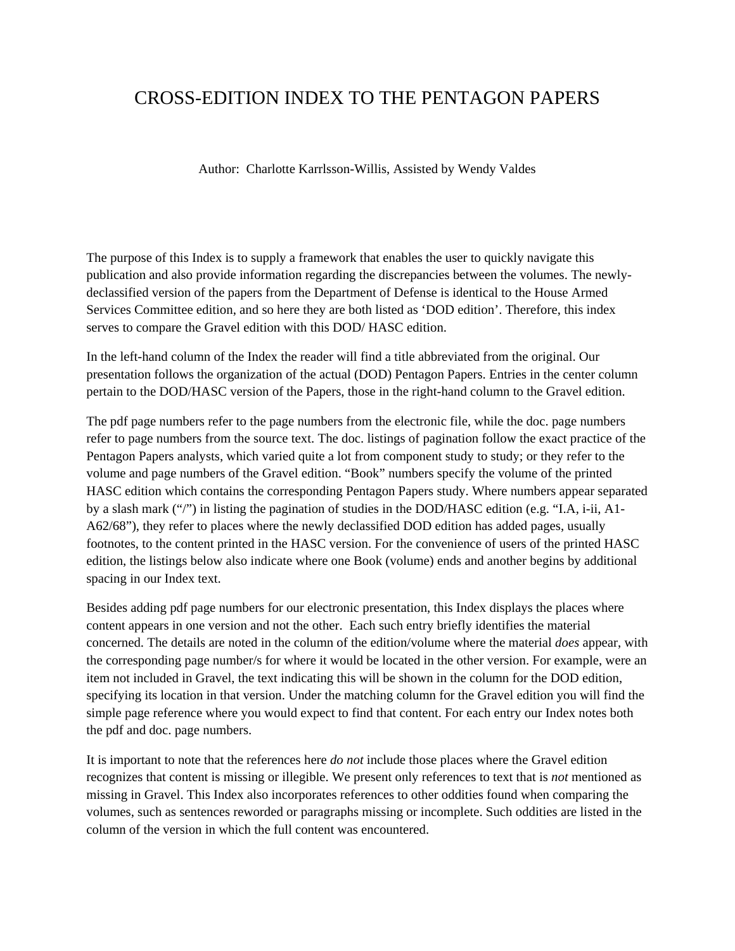## CROSS-EDITION INDEX TO THE PENTAGON PAPERS

Author: Charlotte Karrlsson-Willis, Assisted by Wendy Valdes

The purpose of this Index is to supply a framework that enables the user to quickly navigate this publication and also provide information regarding the discrepancies between the volumes. The newlydeclassified version of the papers from the Department of Defense is identical to the House Armed Services Committee edition, and so here they are both listed as 'DOD edition'. Therefore, this index serves to compare the Gravel edition with this DOD/ HASC edition.

In the left-hand column of the Index the reader will find a title abbreviated from the original. Our presentation follows the organization of the actual (DOD) Pentagon Papers. Entries in the center column pertain to the DOD/HASC version of the Papers, those in the right-hand column to the Gravel edition.

The pdf page numbers refer to the page numbers from the electronic file, while the doc. page numbers refer to page numbers from the source text. The doc. listings of pagination follow the exact practice of the Pentagon Papers analysts, which varied quite a lot from component study to study; or they refer to the volume and page numbers of the Gravel edition. "Book" numbers specify the volume of the printed HASC edition which contains the corresponding Pentagon Papers study. Where numbers appear separated by a slash mark ("/") in listing the pagination of studies in the DOD/HASC edition (e.g. "I.A, i-ii, A1- A62/68"), they refer to places where the newly declassified DOD edition has added pages, usually footnotes, to the content printed in the HASC version. For the convenience of users of the printed HASC edition, the listings below also indicate where one Book (volume) ends and another begins by additional spacing in our Index text.

Besides adding pdf page numbers for our electronic presentation, this Index displays the places where content appears in one version and not the other. Each such entry briefly identifies the material concerned. The details are noted in the column of the edition/volume where the material *does* appear, with the corresponding page number/s for where it would be located in the other version. For example, were an item not included in Gravel, the text indicating this will be shown in the column for the DOD edition, specifying its location in that version. Under the matching column for the Gravel edition you will find the simple page reference where you would expect to find that content. For each entry our Index notes both the pdf and doc. page numbers.

It is important to note that the references here *do not* include those places where the Gravel edition recognizes that content is missing or illegible. We present only references to text that is *not* mentioned as missing in Gravel. This Index also incorporates references to other oddities found when comparing the volumes, such as sentences reworded or paragraphs missing or incomplete. Such oddities are listed in the column of the version in which the full content was encountered.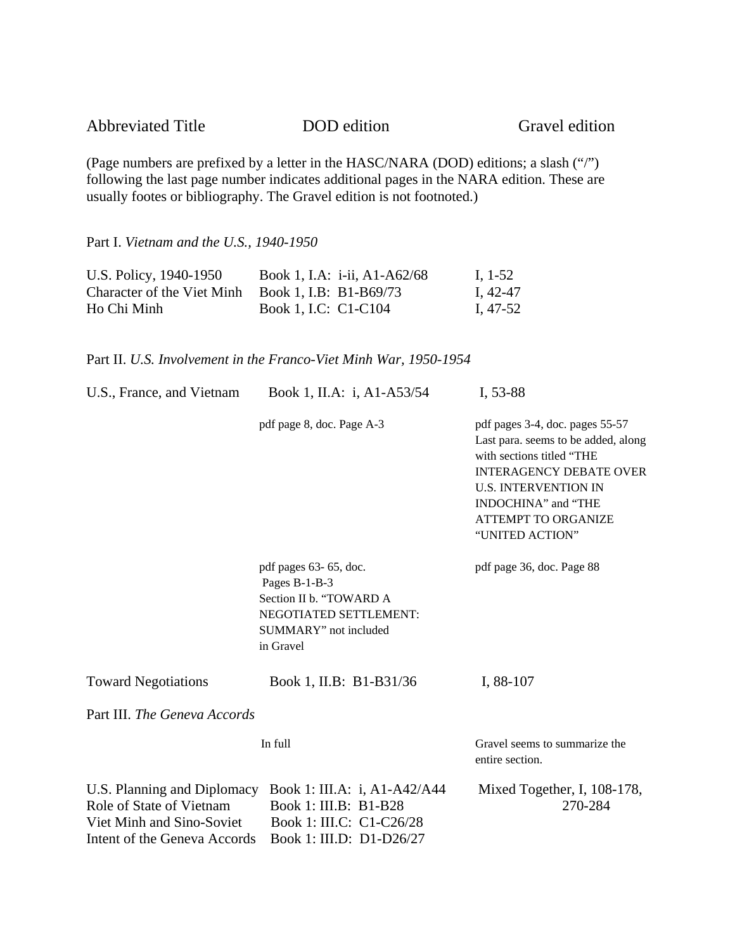Gravel edition

(Page numbers are prefixed by a letter in the HASC/NARA (DOD) editions; a slash ("/") following the last page number indicates additional pages in the NARA edition. These are usually footes or bibliography. The Gravel edition is not footnoted.)

Part I. *Vietnam and the U.S., 1940-1950* 

| U.S. Policy, 1940-1950     | Book 1, I.A: i-ii, A1-A62/68 | I, 1-52  |
|----------------------------|------------------------------|----------|
| Character of the Viet Minh | Book 1, I.B: B1-B69/73       | I, 42-47 |
| Ho Chi Minh                | Book 1, I.C: C1-C104         | I, 47-52 |

Part II. *U.S. Involvement in the Franco-Viet Minh War, 1950-1954* 

| U.S., France, and Vietnam                                                                                            | Book 1, II.A: i, A1-A53/54                                                                                                        | I, 53-88                                                                                                                                                                                                                                     |
|----------------------------------------------------------------------------------------------------------------------|-----------------------------------------------------------------------------------------------------------------------------------|----------------------------------------------------------------------------------------------------------------------------------------------------------------------------------------------------------------------------------------------|
|                                                                                                                      | pdf page 8, doc. Page A-3                                                                                                         | pdf pages 3-4, doc. pages 55-57<br>Last para. seems to be added, along<br>with sections titled "THE<br><b>INTERAGENCY DEBATE OVER</b><br><b>U.S. INTERVENTION IN</b><br>INDOCHINA" and "THE<br><b>ATTEMPT TO ORGANIZE</b><br>"UNITED ACTION" |
|                                                                                                                      | pdf pages 63-65, doc.<br>Pages B-1-B-3<br>Section II b. "TOWARD A<br>NEGOTIATED SETTLEMENT:<br>SUMMARY" not included<br>in Gravel | pdf page 36, doc. Page 88                                                                                                                                                                                                                    |
| <b>Toward Negotiations</b>                                                                                           | Book 1, II.B: B1-B31/36                                                                                                           | I, 88-107                                                                                                                                                                                                                                    |
| Part III. The Geneva Accords                                                                                         |                                                                                                                                   |                                                                                                                                                                                                                                              |
|                                                                                                                      | In full                                                                                                                           | Gravel seems to summarize the<br>entire section.                                                                                                                                                                                             |
| U.S. Planning and Diplomacy<br>Role of State of Vietnam<br>Viet Minh and Sino-Soviet<br>Intent of the Geneva Accords | Book 1: III.A: i, A1-A42/A44<br>Book 1: III.B: B1-B28<br>Book 1: III.C: C1-C26/28<br>Book 1: III.D: D1-D26/27                     | Mixed Together, I, 108-178,<br>270-284                                                                                                                                                                                                       |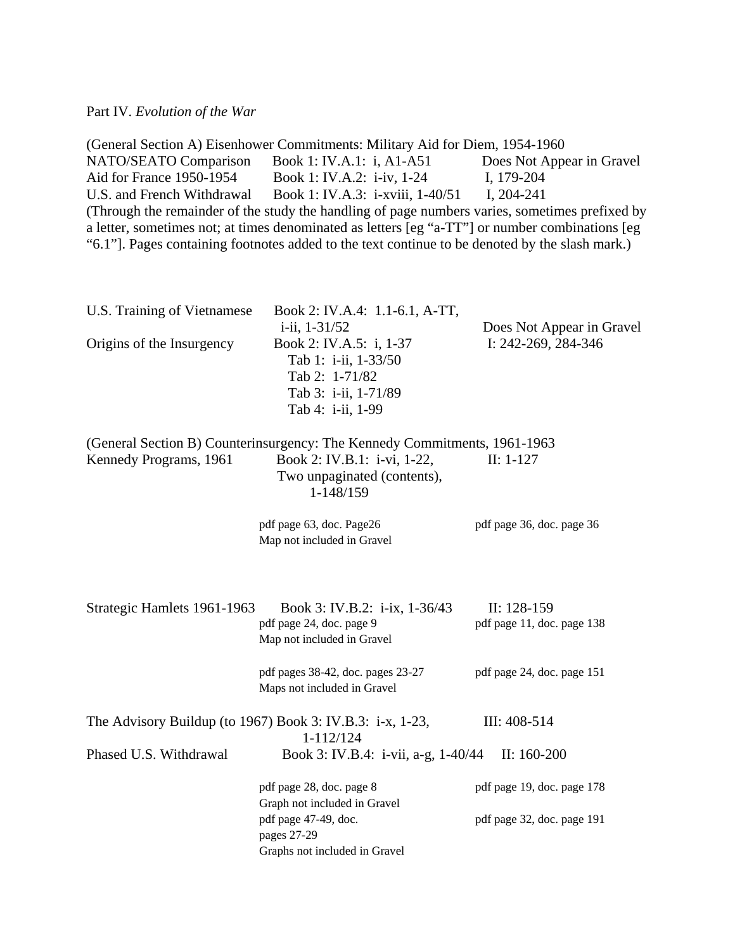|                              | (General Section A) Eisenhower Commitments: Military Aid for Diem, 1954-1960                                                                                                                                                                                                                         |                            |
|------------------------------|------------------------------------------------------------------------------------------------------------------------------------------------------------------------------------------------------------------------------------------------------------------------------------------------------|----------------------------|
| <b>NATO/SEATO Comparison</b> | Book 1: IV.A.1: i, A1-A51                                                                                                                                                                                                                                                                            | Does Not Appear in Gravel  |
| Aid for France 1950-1954     | Book 1: IV.A.2: i-iv, 1-24                                                                                                                                                                                                                                                                           | I, 179-204                 |
| U.S. and French Withdrawal   | Book 1: IV.A.3: i-xviii, 1-40/51                                                                                                                                                                                                                                                                     | I, $204 - 241$             |
|                              | (Through the remainder of the study the handling of page numbers varies, sometimes prefixed by<br>a letter, sometimes not; at times denominated as letters [eg "a-TT"] or number combinations [eg<br>"6.1"]. Pages containing footnotes added to the text continue to be denoted by the slash mark.) |                            |
| U.S. Training of Vietnamese  | Book 2: IV.A.4: 1.1-6.1, A-TT,<br>i-ii, 1-31/52                                                                                                                                                                                                                                                      | Does Not Appear in Gravel  |
| Origins of the Insurgency    | Book 2: IV.A.5: i, 1-37<br>Tab 1: i-ii, 1-33/50<br>Tab 2: 1-71/82<br>Tab 3: i-ii, 1-71/89<br>Tab 4: i-ii, 1-99                                                                                                                                                                                       | I: 242-269, 284-346        |
|                              | (General Section B) Counterinsurgency: The Kennedy Commitments, 1961-1963                                                                                                                                                                                                                            |                            |
| Kennedy Programs, 1961       | Book 2: IV.B.1: i-vi, 1-22,<br>Two unpaginated (contents),<br>1-148/159                                                                                                                                                                                                                              | $II: 1-127$                |
|                              | pdf page 63, doc. Page26<br>Map not included in Gravel                                                                                                                                                                                                                                               | pdf page 36, doc. page 36  |
| Strategic Hamlets 1961-1963  | Book 3: IV.B.2: i-ix, 1-36/43                                                                                                                                                                                                                                                                        | $II: 128-159$              |
|                              | pdf page 24, doc. page 9<br>Map not included in Gravel                                                                                                                                                                                                                                               | pdf page 11, doc. page 138 |
|                              | pdf pages 38-42, doc. pages 23-27<br>Maps not included in Gravel                                                                                                                                                                                                                                     | pdf page 24, doc. page 151 |
|                              | The Advisory Buildup (to 1967) Book 3: IV.B.3: $i-x$ , 1-23,<br>1-112/124                                                                                                                                                                                                                            | III: 408-514               |
| Phased U.S. Withdrawal       | Book 3: IV.B.4: i-vii, a-g, 1-40/44                                                                                                                                                                                                                                                                  | II: $160-200$              |
|                              | pdf page 28, doc. page 8<br>Graph not included in Gravel                                                                                                                                                                                                                                             | pdf page 19, doc. page 178 |
|                              | pdf page 47-49, doc.<br>pages 27-29                                                                                                                                                                                                                                                                  | pdf page 32, doc. page 191 |
|                              | Graphs not included in Gravel                                                                                                                                                                                                                                                                        |                            |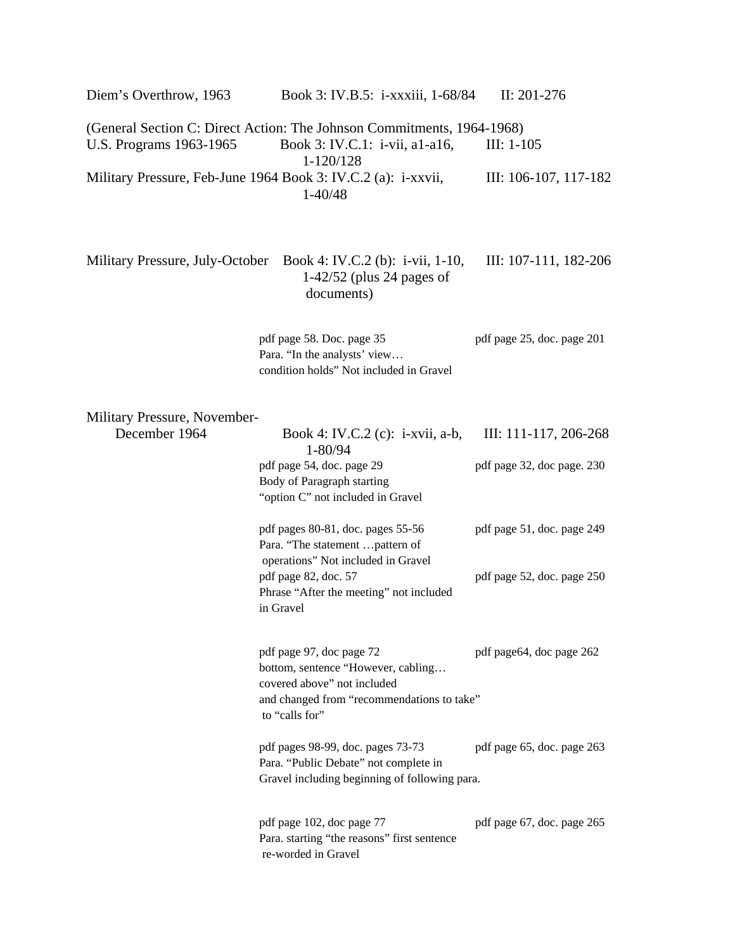(General Section C: Direct Action: The Johnson Commitments, 1964-1968) U.S. Programs 1963-1965 Book 3: IV.C.1: i-vii, a1-a16, III: 1-105 1-120/128 Military Pressure, Feb-June 1964 Book 3: IV.C.2 (a): i-xxvii, III: 106-107, 117-182 1-40/48

Diem's Overthrow, 1963 Book 3: IV.B.5: i-xxxiii, 1-68/84 II: 201-276

Military Pressure, July-October Book 4: IV.C.2 (b): i-vii, 1-10, III: 107-111, 182-206 1-42/52 (plus 24 pages of documents)

> pdf page 58. Doc. page 35 pdf page 25, doc. page 201 Para. "In the analysts' view… condition holds" Not included in Gravel

Military Pressure, November-

| December 1964 | Book 4: IV.C.2 (c): $i$ -xvii, a-b,<br>1-80/94                         | III: 111-117, 206-268      |
|---------------|------------------------------------------------------------------------|----------------------------|
|               | pdf page 54, doc. page 29                                              | pdf page 32, doc page. 230 |
|               | Body of Paragraph starting                                             |                            |
|               | "option C" not included in Gravel                                      |                            |
|               | pdf pages 80-81, doc. pages 55-56                                      | pdf page 51, doc. page 249 |
|               | Para. "The statement  pattern of<br>operations" Not included in Gravel |                            |
|               | pdf page 82, doc. 57                                                   | pdf page 52, doc. page 250 |
|               | Phrase "After the meeting" not included                                |                            |
|               | in Gravel                                                              |                            |
|               |                                                                        |                            |
|               | pdf page 97, doc page 72<br>bottom, sentence "However, cabling         | pdf page 64, doc page 262  |
|               | covered above" not included                                            |                            |
|               | and changed from "recommendations to take"                             |                            |
|               | to "calls for"                                                         |                            |
|               | pdf pages 98-99, doc. pages 73-73                                      | pdf page 65, doc. page 263 |
|               | Para. "Public Debate" not complete in                                  |                            |
|               | Gravel including beginning of following para.                          |                            |
|               |                                                                        |                            |
|               | pdf page 102, doc page 77                                              | pdf page 67, doc. page 265 |
|               | Para. starting "the reasons" first sentence<br>re-worded in Gravel     |                            |
|               |                                                                        |                            |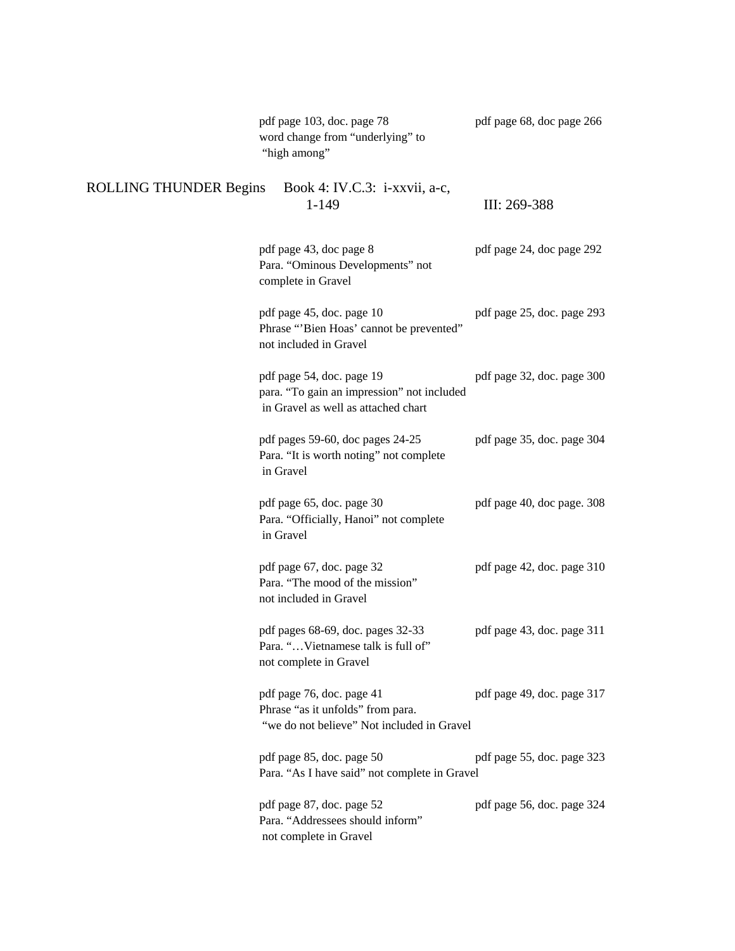|                               | pdf page 103, doc. page 78<br>word change from "underlying" to<br>"high among"                                 | pdf page 68, doc page 266  |
|-------------------------------|----------------------------------------------------------------------------------------------------------------|----------------------------|
| <b>ROLLING THUNDER Begins</b> | Book 4: IV.C.3: i-xxvii, a-c,<br>$1 - 149$                                                                     | III: 269-388               |
|                               | pdf page 43, doc page 8<br>Para. "Ominous Developments" not<br>complete in Gravel                              | pdf page 24, doc page 292  |
|                               | pdf page 45, doc. page 10<br>Phrase "Bien Hoas' cannot be prevented"<br>not included in Gravel                 | pdf page 25, doc. page 293 |
|                               | pdf page 54, doc. page 19<br>para. "To gain an impression" not included<br>in Gravel as well as attached chart | pdf page 32, doc. page 300 |
|                               | pdf pages 59-60, doc pages 24-25<br>Para. "It is worth noting" not complete<br>in Gravel                       | pdf page 35, doc. page 304 |
|                               | pdf page 65, doc. page 30<br>Para. "Officially, Hanoi" not complete<br>in Gravel                               | pdf page 40, doc page. 308 |
|                               | pdf page 67, doc. page 32<br>Para. "The mood of the mission"<br>not included in Gravel                         | pdf page 42, doc. page 310 |
|                               | pdf pages 68-69, doc. pages 32-33<br>Para. "Vietnamese talk is full of"<br>not complete in Gravel              | pdf page 43, doc. page 311 |
|                               | pdf page 76, doc. page 41<br>Phrase "as it unfolds" from para.<br>"we do not believe" Not included in Gravel   | pdf page 49, doc. page 317 |
|                               | pdf page 85, doc. page 50<br>Para. "As I have said" not complete in Gravel                                     | pdf page 55, doc. page 323 |
|                               | pdf page 87, doc. page 52<br>Para. "Addressees should inform"<br>not complete in Gravel                        | pdf page 56, doc. page 324 |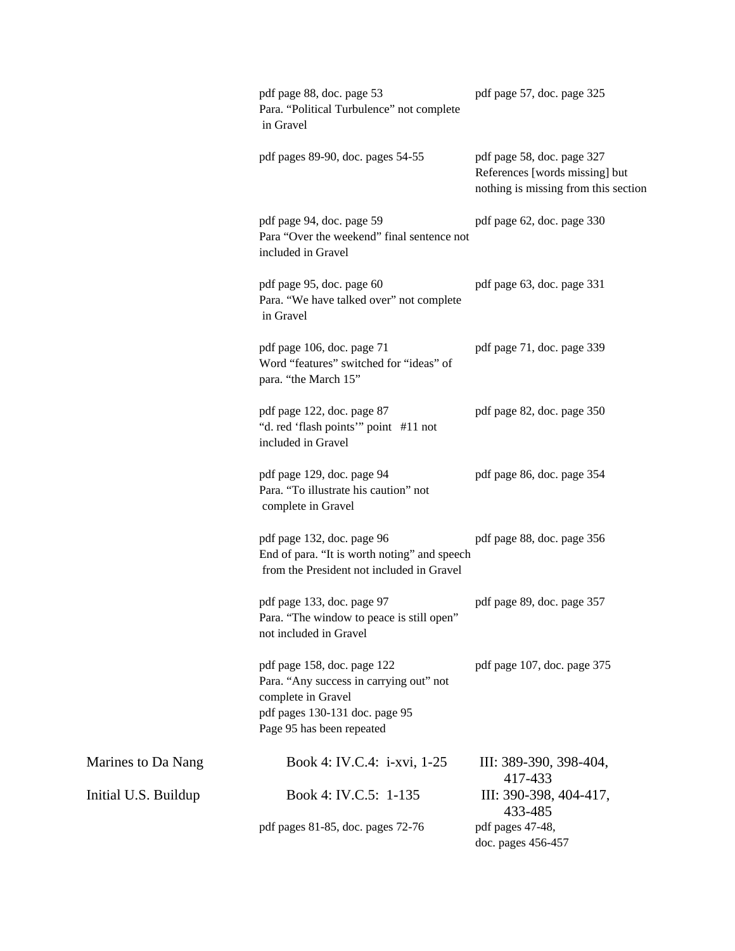|                      | pdf page 88, doc. page 53<br>Para. "Political Turbulence" not complete<br>in Gravel                                                                         | pdf page 57, doc. page 325                                                                           |
|----------------------|-------------------------------------------------------------------------------------------------------------------------------------------------------------|------------------------------------------------------------------------------------------------------|
|                      | pdf pages 89-90, doc. pages 54-55                                                                                                                           | pdf page 58, doc. page 327<br>References [words missing] but<br>nothing is missing from this section |
|                      | pdf page 94, doc. page 59<br>Para "Over the weekend" final sentence not<br>included in Gravel                                                               | pdf page 62, doc. page 330                                                                           |
|                      | pdf page 95, doc. page 60<br>Para. "We have talked over" not complete<br>in Gravel                                                                          | pdf page 63, doc. page 331                                                                           |
|                      | pdf page 106, doc. page 71<br>Word "features" switched for "ideas" of<br>para. "the March 15"                                                               | pdf page 71, doc. page 339                                                                           |
|                      | pdf page 122, doc. page 87<br>"d. red 'flash points'" point #11 not<br>included in Gravel                                                                   | pdf page 82, doc. page 350                                                                           |
|                      | pdf page 129, doc. page 94<br>Para. "To illustrate his caution" not<br>complete in Gravel                                                                   | pdf page 86, doc. page 354                                                                           |
|                      | pdf page 132, doc. page 96<br>End of para. "It is worth noting" and speech<br>from the President not included in Gravel                                     | pdf page 88, doc. page 356                                                                           |
|                      | pdf page 133, doc. page 97<br>Para. "The window to peace is still open"<br>not included in Gravel                                                           | pdf page 89, doc. page 357                                                                           |
|                      | pdf page 158, doc. page 122<br>Para. "Any success in carrying out" not<br>complete in Gravel<br>pdf pages 130-131 doc. page 95<br>Page 95 has been repeated | pdf page 107, doc. page 375                                                                          |
| Marines to Da Nang   | Book 4: IV.C.4: <i>i-xvi</i> , 1-25                                                                                                                         | III: 389-390, 398-404,<br>417-433                                                                    |
| Initial U.S. Buildup | Book 4: IV.C.5: 1-135                                                                                                                                       | III: 390-398, 404-417,<br>433-485                                                                    |
|                      | pdf pages 81-85, doc. pages 72-76                                                                                                                           | pdf pages 47-48,<br>doc. pages 456-457                                                               |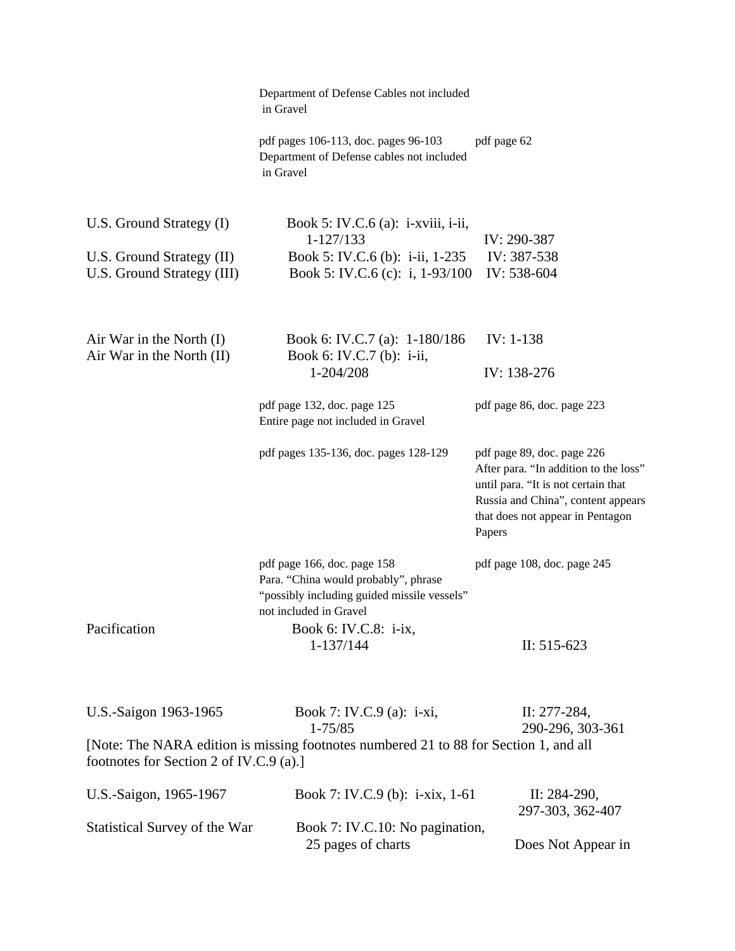|                                                                                     | Department of Defense Cables not included<br>in Gravel                                                                                       |                                                                                                                                                                                                |
|-------------------------------------------------------------------------------------|----------------------------------------------------------------------------------------------------------------------------------------------|------------------------------------------------------------------------------------------------------------------------------------------------------------------------------------------------|
|                                                                                     | pdf pages 106-113, doc. pages 96-103<br>Department of Defense cables not included<br>in Gravel                                               | pdf page 62                                                                                                                                                                                    |
| U.S. Ground Strategy (I)<br>U.S. Ground Strategy (II)<br>U.S. Ground Strategy (III) | Book 5: IV.C.6 (a): $i$ -xviii, $i$ -ii,<br>1-127/133<br>Book 5: IV.C.6 (b): i-ii, 1-235<br>Book 5: IV.C.6 (c): i, $1-93/100$                | IV: 290-387<br>IV: 387-538<br>IV: 538-604                                                                                                                                                      |
| Air War in the North $(I)$<br>Air War in the North (II)                             | Book 6: IV.C.7 (a): 1-180/186<br>Book 6: IV.C.7 (b): i-ii,                                                                                   | $IV: 1-138$                                                                                                                                                                                    |
|                                                                                     | 1-204/208                                                                                                                                    | IV: 138-276                                                                                                                                                                                    |
|                                                                                     | pdf page 132, doc. page 125<br>Entire page not included in Gravel                                                                            | pdf page 86, doc. page 223                                                                                                                                                                     |
|                                                                                     | pdf pages 135-136, doc. pages 128-129                                                                                                        | pdf page 89, doc. page 226<br>After para. "In addition to the loss"<br>until para. "It is not certain that<br>Russia and China", content appears<br>that does not appear in Pentagon<br>Papers |
|                                                                                     | pdf page 166, doc. page 158<br>Para. "China would probably", phrase<br>"possibly including guided missile vessels"<br>not included in Gravel | pdf page 108, doc. page 245                                                                                                                                                                    |
| Pacification                                                                        | Book 6: IV.C.8: i-ix,<br>1-137/144                                                                                                           | II: $515-623$                                                                                                                                                                                  |
| U.S.-Saigon 1963-1965                                                               | Book 7: IV.C.9 (a): i-xi,<br>$1 - 75/85$                                                                                                     | II: 277-284,<br>290-296, 303-361                                                                                                                                                               |
| footnotes for Section 2 of IV.C.9 (a).]                                             | [Note: The NARA edition is missing footnotes numbered 21 to 88 for Section 1, and all                                                        |                                                                                                                                                                                                |
| U.S.-Saigon, 1965-1967                                                              | Book 7: IV.C.9 (b): i-xix, 1-61                                                                                                              | II: $284-290$ ,<br>297-303, 362-407                                                                                                                                                            |
| Statistical Survey of the War                                                       | Book 7: IV.C.10: No pagination,<br>25 pages of charts                                                                                        | Does Not Appear in                                                                                                                                                                             |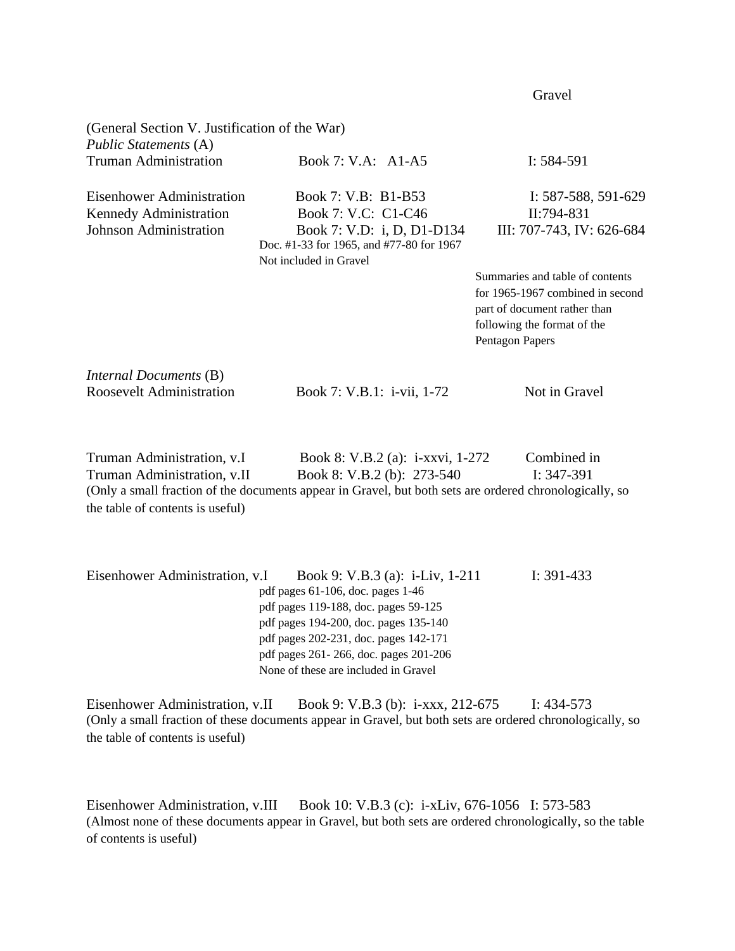(General Section V. Justification of the War) *Public Statements* (A) Truman Administration Book 7: V.A: A1-A5 I: 584-591 Eisenhower Administration Book 7: V.B: B1-B53 I: 587-588, 591-629 Kennedy Administration Book 7: V.C: C1-C46 II:794-831 Johnson Administration Book 7: V.D: i, D, D1-D134 III: 707-743, IV: 626-684 Doc. #1-33 for 1965, and #77-80 for 1967 Not included in Gravel Summaries and table of contents for 1965-1967 combined in second part of document rather than following the format of the Pentagon Papers *Internal Documents* (B) Roosevelt Administration Book 7: V.B.1: i-vii, 1-72 Not in Gravel

Gravel **Gravel** 

Truman Administration, v.I Book 8: V.B.2 (a): i-xxvi, 1-272 Combined in Truman Administration, v.II Book 8: V.B.2 (b): 273-540 I: 347-391 (Only a small fraction of the documents appear in Gravel, but both sets are ordered chronologically, so the table of contents is useful)

| Eisenhower Administration, v.I<br>Book 9: V.B.3 (a): i-Liv, 1-211 | I: $391-433$ |
|-------------------------------------------------------------------|--------------|
| pdf pages 61-106, doc. pages 1-46                                 |              |
| pdf pages 119-188, doc. pages 59-125                              |              |
| pdf pages 194-200, doc. pages 135-140                             |              |
| pdf pages 202-231, doc. pages 142-171                             |              |
| pdf pages 261 - 266, doc. pages 201 - 206                         |              |
| None of these are included in Gravel                              |              |

Eisenhower Administration, v.II Book 9: V.B.3 (b): i-xxx, 212-675 I: 434-573 (Only a small fraction of these documents appear in Gravel, but both sets are ordered chronologically, so the table of contents is useful)

Eisenhower Administration, v.III Book 10: V.B.3 (c): i-xLiv, 676-1056 I: 573-583 (Almost none of these documents appear in Gravel, but both sets are ordered chronologically, so the table of contents is useful)